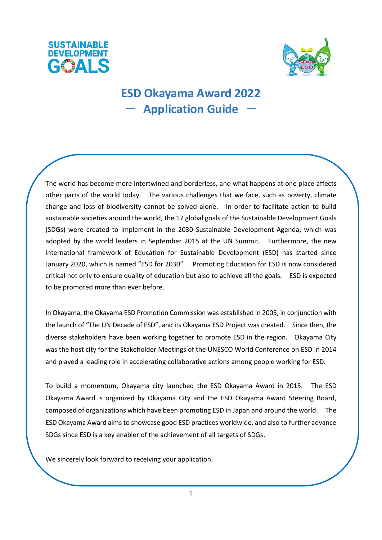



# **ESD Okayama Award 2022**  - **Application Guide** -

The world has become more intertwined and borderless, and what happens at one place affects other parts of the world today. The various challenges that we face, such as poverty, climate change and loss of biodiversity cannot be solved alone. In order to facilitate action to build sustainable societies around the world, the 17 global goals of the Sustainable Development Goals (SDGs) were created to implement in the 2030 Sustainable Development Agenda, which was adopted by the world leaders in September 2015 at the UN Summit. Furthermore, the new international framework of Education for Sustainable Development (ESD) has started since January 2020, which is named "ESD for 2030". Promoting Education for ESD is now considered critical not only to ensure quality of education but also to achieve all the goals. ESD is expected to be promoted more than ever before.

In Okayama, the Okayama ESD Promotion Commission was established in 2005, in conjunction with the launch of "The UN Decade of ESD", and its Okayama ESD Project was created. Since then, the diverse stakeholders have been working together to promote ESD in the region. Okayama City was the host city for the Stakeholder Meetings of the UNESCO World Conference on ESD in 2014 and played a leading role in accelerating collaborative actions among people working for ESD.

To build a momentum, Okayama city launched the ESD Okayama Award in 2015. The ESD Okayama Award is organized by Okayama City and the ESD Okayama Award Steering Board, composed of organizations which have been promoting ESD in Japan and around the world. The ESD Okayama Award aims to showcase good ESD practices worldwide, and also to further advance SDGs since ESD is a key enabler of the achievement of all targets of SDGs.

We sincerely look forward to receiving your application.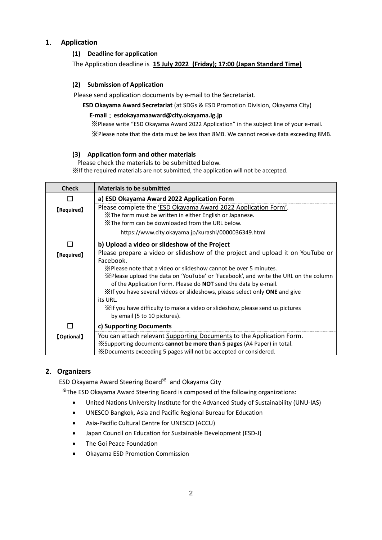# **1**. **Application**

## **(1) Deadline for application**

The Application deadline is **15 July 2022 (Friday); 17:00 (Japan Standard Time)**

#### **(2) Submission of Application**

Please send application documents by e-mail to the Secretariat.

**ESD Okayama Award Secretariat** (at SDGs & ESD Promotion Division, Okayama City)

# **E-mail**:**esdokayamaaward@city.okayama.lg.jp**

※Please write "ESD Okayama Award 2022 Application" in the subject line of your e-mail. ※Please note that the data must be less than 8MB. We cannot receive data exceeding 8MB.

#### **(3) Application form and other materials**

Please check the materials to be submitted below. ※If the required materials are not submitted, the application will not be accepted.

| <b>Check</b>      | <b>Materials to be submitted</b>                                                     |
|-------------------|--------------------------------------------------------------------------------------|
| П                 | a) ESD Okayama Award 2022 Application Form                                           |
| <b>【Required】</b> | Please complete the 'ESD Okayama Award 2022 Application Form'.                       |
|                   | X The form must be written in either English or Japanese.                            |
|                   | X The form can be downloaded from the URL below.                                     |
|                   | https://www.city.okayama.jp/kurashi/0000036349.html                                  |
| $\Box$            | b) Upload a video or slideshow of the Project                                        |
| <b>【Required】</b> | Please prepare a video or slideshow of the project and upload it on YouTube or       |
|                   | Facebook.                                                                            |
|                   | X Please note that a video or slideshow cannot be over 5 minutes.                    |
|                   | X Please upload the data on 'YouTube' or 'Facebook', and write the URL on the column |
|                   | of the Application Form. Please do <b>NOT</b> send the data by e-mail.               |
|                   | XIf you have several videos or slideshows, please select only ONE and give           |
|                   | its URL.                                                                             |
|                   | X if you have difficulty to make a video or slideshow, please send us pictures       |
|                   | by email (5 to 10 pictures).                                                         |
| П                 | c) Supporting Documents                                                              |
| <b>[Optional]</b> | You can attach relevant Supporting Documents to the Application Form.                |
|                   | *Supporting documents cannot be more than 5 pages (A4 Paper) in total.               |
|                   | X Documents exceeding 5 pages will not be accepted or considered.                    |

## **2**.**Organizers**

ESD Okayama Award Steering Board※ and Okayama City

※The ESD Okayama Award Steering Board is composed of the following organizations:

- United Nations University Institute for the Advanced Study of Sustainability (UNU-IAS)
- UNESCO Bangkok, Asia and Pacific Regional Bureau for Education
- Asia-Pacific Cultural Centre for UNESCO (ACCU)
- Japan Council on Education for Sustainable Development (ESD-J)
- The Goi Peace Foundation
- Okayama ESD Promotion Commission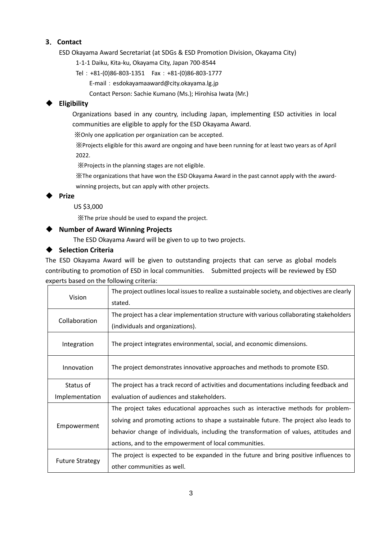## **3**.**Contact**

ESD Okayama Award Secretariat (at SDGs & ESD Promotion Division, Okayama City)

1-1-1 Daiku, Kita-ku, Okayama City, Japan 700-8544

- Tel:+81-(0)86-803-1351 Fax:+81-(0)86-803-1777 E-mail:[esdokayamaaward@city.okayama.lg.jp](mailto:esdokayamaaward@city.okayama.lg.jp)
	- Contact Person: Sachie Kumano (Ms.); Hirohisa Iwata (Mr.)

# **Eligibility**

Organizations based in any country, including Japan, implementing ESD activities in local communities are eligible to apply for the ESD Okayama Award.

※Only one application per organization can be accepted.

※Projects eligible for this award are ongoing and have been running for at least two years as of April 2022.

※Projects in the planning stages are not eligible.

※The organizations that have won the ESD Okayama Award in the past cannot apply with the awardwinning projects, but can apply with other projects.

**Prize**

US \$3,000

※The prize should be used to expand the project.

# **Number of Award Winning Projects**

The ESD Okayama Award will be given to up to two projects.

# **Selection Criteria**

The ESD Okayama Award will be given to outstanding projects that can serve as global models contributing to promotion of ESD in local communities. Submitted projects will be reviewed by ESD experts based on the following criteria:

| Vision                 | The project outlines local issues to realize a sustainable society, and objectives are clearly |
|------------------------|------------------------------------------------------------------------------------------------|
|                        | stated.                                                                                        |
| Collaboration          | The project has a clear implementation structure with various collaborating stakeholders       |
|                        | (individuals and organizations).                                                               |
| Integration            | The project integrates environmental, social, and economic dimensions.                         |
| Innovation             | The project demonstrates innovative approaches and methods to promote ESD.                     |
| Status of              | The project has a track record of activities and documentations including feedback and         |
| Implementation         | evaluation of audiences and stakeholders.                                                      |
| Empowerment            | The project takes educational approaches such as interactive methods for problem-              |
|                        | solving and promoting actions to shape a sustainable future. The project also leads to         |
|                        | behavior change of individuals, including the transformation of values, attitudes and          |
|                        | actions, and to the empowerment of local communities.                                          |
| <b>Future Strategy</b> | The project is expected to be expanded in the future and bring positive influences to          |
|                        | other communities as well.                                                                     |